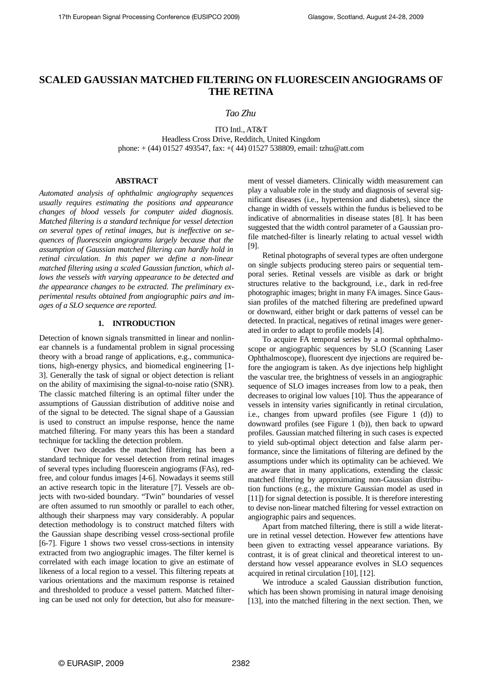# **SCALED GAUSSIAN MATCHED FILTERING ON FLUORESCEIN ANGIOGRAMS OF THE RETINA**

*Tao Zhu*

ITO Intl., AT&T Headless Cross Drive, Redditch, United Kingdom phone: + (44) 01527 493547, fax: +( 44) 01527 538809, email: tzhu@att.com

## **ABSTRACT**

*Automated analysis of ophthalmic angiography sequences usually requires estimating the positions and appearance changes of blood vessels for computer aided diagnosis. Matched filtering is a standard technique for vessel detection on several types of retinal images, but is ineffective on sequences of fluorescein angiograms largely because that the assumption of Gaussian matched filtering can hardly hold in retinal circulation. In this paper we define a non-linear matched filtering using a scaled Gaussian function, which allows the vessels with varying appearance to be detected and the appearance changes to be extracted. The preliminary experimental results obtained from angiographic pairs and images of a SLO sequence are reported.*

## **1. INTRODUCTION**

Detection of known signals transmitted in linear and nonlinear channels is a fundamental problem in signal processing theory with a broad range of applications, e.g., communications, high-energy physics, and biomedical engineering [1- 3]. Generally the task of signal or object detection is reliant on the ability of maximising the signal-to-noise ratio (SNR). The classic matched filtering is an optimal filter under the assumptions of Gaussian distribution of additive noise and of the signal to be detected. The signal shape of a Gaussian is used to construct an impulse response, hence the name matched filtering. For many years this has been a standard technique for tackling the detection problem.

Over two decades the matched filtering has been a standard technique for vessel detection from retinal images of several types including fluorescein angiograms (FAs), redfree, and colour fundus images [4-6]. Nowadays it seems still an active research topic in the literature [7]. Vessels are objects with two-sided boundary. "Twin" boundaries of vessel are often assumed to run smoothly or parallel to each other, although their sharpness may vary considerably. A popular detection methodology is to construct matched filters with the Gaussian shape describing vessel cross-sectional profile [6-7]. Figure 1 shows two vessel cross-sections in intensity extracted from two angiographic images. The filter kernel is correlated with each image location to give an estimate of likeness of a local region to a vessel. This filtering repeats at various orientations and the maximum response is retained and thresholded to produce a vessel pattern. Matched filtering can be used not only for detection, but also for measurement of vessel diameters. Clinically width measurement can play a valuable role in the study and diagnosis of several significant diseases (i.e., hypertension and diabetes), since the change in width of vessels within the fundus is believed to be indicative of abnormalities in disease states [8]. It has been suggested that the width control parameter of a Gaussian profile matched-filter is linearly relating to actual vessel width [9].

Retinal photographs of several types are often undergone on single subjects producing stereo pairs or sequential temporal series. Retinal vessels are visible as dark or bright structures relative to the background, i.e., dark in red-free photographic images; bright in many FA images. Since Gaussian profiles of the matched filtering are predefined upward or downward, either bright or dark patterns of vessel can be detected. In practical, negatives of retinal images were generated in order to adapt to profile models [4].

To acquire FA temporal series by a normal ophthalmoscope or angiographic sequences by SLO (Scanning Laser Ophthalmoscope), fluorescent dye injections are required before the angiogram is taken. As dye injections help highlight the vascular tree, the brightness of vessels in an angiographic sequence of SLO images increases from low to a peak, then decreases to original low values [10]. Thus the appearance of vessels in intensity varies significantly in retinal circulation, i.e., changes from upward profiles (see Figure 1 (d)) to downward profiles (see Figure 1 (b)), then back to upward profiles. Gaussian matched filtering in such cases is expected to yield sub-optimal object detection and false alarm performance, since the limitations of filtering are defined by the assumptions under which its optimality can be achieved. We are aware that in many applications, extending the classic matched filtering by approximating non-Gaussian distribution functions (e.g., the mixture Gaussian model as used in [11]) for signal detection is possible. It is therefore interesting to devise non-linear matched filtering for vessel extraction on angiographic pairs and sequences.

Apart from matched filtering, there is still a wide literature in retinal vessel detection. However few attentions have been given to extracting vessel appearance variations. By contrast, it is of great clinical and theoretical interest to understand how vessel appearance evolves in SLO sequences acquired in retinal circulation [10], [12].

We introduce a scaled Gaussian distribution function, which has been shown promising in natural image denoising [13], into the matched filtering in the next section. Then, we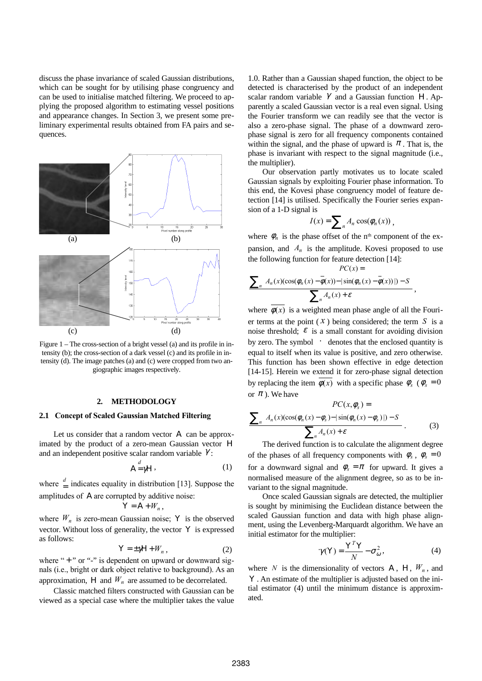discuss the phase invariance of scaled Gaussian distributions, which can be sought for by utilising phase congruency and can be used to initialise matched filtering. We proceed to applying the proposed algorithm to estimating vessel positions and appearance changes. In Section 3, we present some preliminary experimental results obtained from FA pairs and sequences.



Figure 1 – The cross-section of a bright vessel (a) and its profile in intensity (b); the cross-section of a dark vessel (c) and its profile in intensity (d). The image patches (a) and (c) were cropped from two angiographic images respectively.

#### **2. METHODOLOGY**

#### **2.1 Concept of Scaled Gaussian Matched Filtering**

Let us consider that a random vector Α can be approximated by the product of a zero-mean Gaussian vector Η and an independent positive scalar random variable  $\gamma$ :

$$
A = \gamma H \tag{1}
$$

where  $\frac{d}{dx}$  indicates equality in distribution [13]. Suppose the amplitudes of Α are corrupted by additive noise:

$$
Y = A + W_n,
$$

where  $W_n$  is zero-mean Gaussian noise; Y is the observed vector. Without loss of generality, the vector Υ is expressed as follows:

$$
Y = \pm \gamma H + W_n \,, \tag{2}
$$

where " $+$ " or " $-$ " is dependent on upward or downward signals (i.e., bright or dark object relative to background). As an approximation, H and  $W_n$  are assumed to be decorrelated.

Classic matched filters constructed with Gaussian can be viewed as a special case where the multiplier takes the value 1.0. Rather than a Gaussian shaped function, the object to be detected is characterised by the product of an independent scalar random variable  $\gamma$  and a Gaussian function H. Apparently a scaled Gaussian vector is a real even signal. Using the Fourier transform we can readily see that the vector is also a zero-phase signal. The phase of a downward zerophase signal is zero for all frequency components contained within the signal, and the phase of upward is  $\pi$ . That is, the phase is invariant with respect to the signal magnitude (i.e., the multiplier).

Our observation partly motivates us to locate scaled Gaussian signals by exploiting Fourier phase information. To this end, the Kovesi phase congruency model of feature detection [14] is utilised. Specifically the Fourier series expansion of a 1-D signal is

$$
I(x) = \sum_{n} A_n \cos(\phi_n(x)),
$$

where  $\phi_n$  is the phase offset of the n<sup>th</sup> component of the expansion, and  $A_n$  is the amplitude. Kovesi proposed to use the following function for feature detection [14]:

$$
PC(x) = \frac{PC(x)}{\sum_{n} \left[ A_n(x) (\cos(\phi_n(x) - \overline{\phi}(x)) - |\sin(\phi_n(x) - \overline{\phi}(x))|) - S \right]} \sum_{n} A_n(x) + \varepsilon ,
$$

where  $\phi(x)$  is a weighted mean phase angle of all the Fourier terms at the point  $(X)$  being considered; the term *S* is a noise threshold;  $\varepsilon$  is a small constant for avoiding division by zero. The symbol  $\lvert \cdot \rvert$  denotes that the enclosed quantity is equal to itself when its value is positive, and zero otherwise. This function has been shown effective in edge detection [14-15]. Herein we extend it for zero-phase signal detection by replacing the item  $\overline{\phi(x)}$  with a specific phase  $\phi_s$  ( $\phi_s = 0$ or  $\pi$ ). We have

$$
PC(x, \phi_s) =
$$
  

$$
\sum_{n} \left[ A_n(x) (\cos(\phi_n(x) - \phi_s) - |\sin(\phi_n(x) - \phi_s)|) - S \right]
$$
  

$$
\sum_{n} A_n(x) + \varepsilon
$$
 (3)

The derived function is to calculate the alignment degree of the phases of all frequency components with  $\phi_s$ ,  $\phi_s = 0$ for a downward signal and  $\phi_s = \pi$  for upward. It gives a normalised measure of the alignment degree, so as to be invariant to the signal magnitude.

Once scaled Gaussian signals are detected, the multiplier is sought by minimising the Euclidean distance between the scaled Gaussian function and data with high phase alignment, using the Levenberg-Marquardt algorithm. We have an initial estimator for the multiplier:

$$
\gamma(Y) = \frac{Y^T Y}{N} - \sigma_\omega^2,
$$
\n(4)

where *N* is the dimensionality of vectors A, H,  $W_n$ , and Y. An estimate of the multiplier is adjusted based on the initial estimator (4) until the minimum distance is approximated.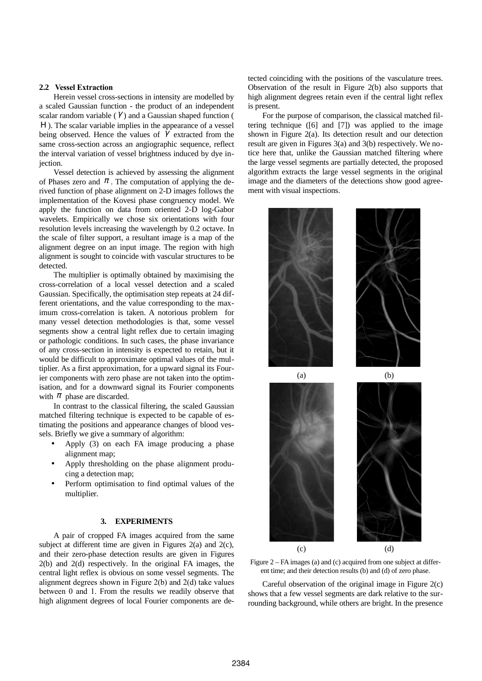# **2.2 Vessel Extraction**

Herein vessel cross-sections in intensity are modelled by a scaled Gaussian function - the product of an independent scalar random variable  $(\gamma)$  and a Gaussian shaped function ( H). The scalar variable implies in the appearance of a vessel being observed. Hence the values of  $\gamma$  extracted from the same cross-section across an angiographic sequence, reflect the interval variation of vessel brightness induced by dye injection.

Vessel detection is achieved by assessing the alignment of Phases zero and  $\pi$ . The computation of applying the derived function of phase alignment on 2-D images follows the implementation of the Kovesi phase congruency model. We apply the function on data from oriented 2-D log-Gabor wavelets. Empirically we chose six orientations with four resolution levels increasing the wavelength by 0.2 octave. In the scale of filter support, a resultant image is a map of the alignment degree on an input image. The region with high alignment is sought to coincide with vascular structures to be detected.

The multiplier is optimally obtained by maximising the cross-correlation of a local vessel detection and a scaled Gaussian. Specifically, the optimisation step repeats at 24 different orientations, and the value corresponding to the maximum cross-correlation is taken. A notorious problem for many vessel detection methodologies is that, some vessel segments show a central light reflex due to certain imaging or pathologic conditions. In such cases, the phase invariance of any cross-section in intensity is expected to retain, but it would be difficult to approximate optimal values of the multiplier. As a first approximation, for a upward signal its Fourier components with zero phase are not taken into the optimisation, and for a downward signal its Fourier components with  $\pi$  phase are discarded.

In contrast to the classical filtering, the scaled Gaussian matched filtering technique is expected to be capable of estimating the positions and appearance changes of blood vessels. Briefly we give a summary of algorithm:

- Apply (3) on each FA image producing a phase alignment map;
- Apply thresholding on the phase alignment producing a detection map;
- Perform optimisation to find optimal values of the multiplier.

## **3. EXPERIMENTS**

A pair of cropped FA images acquired from the same subject at different time are given in Figures  $2(a)$  and  $2(c)$ , and their zero-phase detection results are given in Figures 2(b) and 2(d) respectively. In the original FA images, the central light reflex is obvious on some vessel segments. The alignment degrees shown in Figure 2(b) and 2(d) take values between 0 and 1. From the results we readily observe that high alignment degrees of local Fourier components are detected coinciding with the positions of the vasculature trees. Observation of the result in Figure 2(b) also supports that high alignment degrees retain even if the central light reflex is present.

For the purpose of comparison, the classical matched filtering technique ([6] and [7]) was applied to the image shown in Figure 2(a). Its detection result and our detection result are given in Figures 3(a) and 3(b) respectively. We notice here that, unlike the Gaussian matched filtering where the large vessel segments are partially detected, the proposed algorithm extracts the large vessel segments in the original image and the diameters of the detections show good agreement with visual inspections.



Figure 2 – FA images (a) and (c) acquired from one subject at different time; and their detection results (b) and (d) of zero phase.

Careful observation of the original image in Figure 2(c) shows that a few vessel segments are dark relative to the surrounding background, while others are bright. In the presence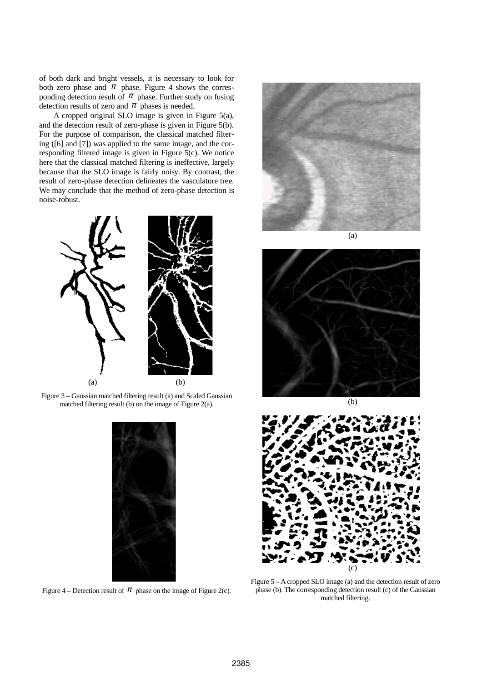of both dark and bright vessels, it is necessary to look for both zero phase and  $\pi$  phase. Figure 4 shows the corresponding detection result of  $\pi$  phase. Further study on fusing detection results of zero and  $\pi$  phases is needed.

A cropped original SLO image is given in Figure 5(a), and the detection result of zero-phase is given in Figure 5(b). For the purpose of comparison, the classical matched filtering ([6] and [7]) was applied to the same image, and the corresponding filtered image is given in Figure 5(c). We notice here that the classical matched filtering is ineffective, largely because that the SLO image is fairly noisy. By contrast, the result of zero-phase detection delineates the vasculature tree. We may conclude that the method of zero-phase detection is noise-robust.



Figure 3 – Gaussian matched filtering result (a) and Scaled Gaussian matched filtering result (b) on the image of Figure 2(a).



Figure 4 – Detection result of  $\pi$  phase on the image of Figure 2(c).



(a)





Figure 5 – A cropped SLO image (a) and the detection result of zero phase (b). The corresponding detection result (c) of the Gaussian matched filtering.